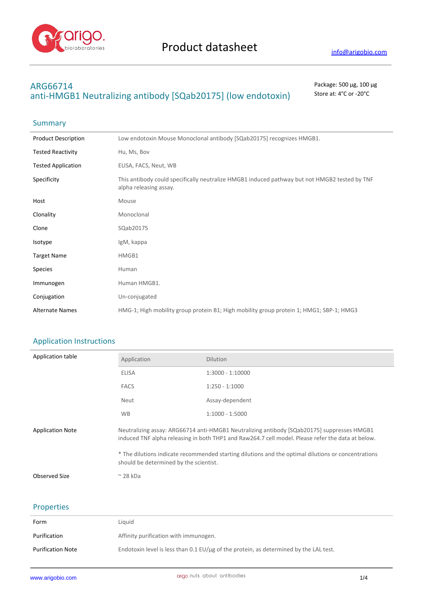

# **ARG66714** Package: 500 μg, 100 μg anti-HMGB1 Neutralizing antibody [SQab20175] (low endotoxin) Store at: 4°C or -20°C

# Summary

| <b>Product Description</b> | Low endotoxin Mouse Monoclonal antibody [SQab20175] recognizes HMGB1.                                                   |
|----------------------------|-------------------------------------------------------------------------------------------------------------------------|
| <b>Tested Reactivity</b>   | Hu, Ms, Bov                                                                                                             |
| <b>Tested Application</b>  | ELISA, FACS, Neut, WB                                                                                                   |
| Specificity                | This antibody could specifically neutralize HMGB1 induced pathway but not HMGB2 tested by TNF<br>alpha releasing assay. |
| Host                       | Mouse                                                                                                                   |
| Clonality                  | Monoclonal                                                                                                              |
| Clone                      | SQab20175                                                                                                               |
| Isotype                    | IgM, kappa                                                                                                              |
| <b>Target Name</b>         | HMGB1                                                                                                                   |
| <b>Species</b>             | Human                                                                                                                   |
| Immunogen                  | Human HMGB1.                                                                                                            |
| Conjugation                | Un-conjugated                                                                                                           |
| <b>Alternate Names</b>     | HMG-1; High mobility group protein B1; High mobility group protein 1; HMG1; SBP-1; HMG3                                 |

# Application Instructions

l,

| Application table       | Application                                                                                                                                                                                     | <b>Dilution</b>    |  |
|-------------------------|-------------------------------------------------------------------------------------------------------------------------------------------------------------------------------------------------|--------------------|--|
|                         | <b>ELISA</b>                                                                                                                                                                                    | $1:3000 - 1:10000$ |  |
|                         | <b>FACS</b>                                                                                                                                                                                     | $1:250 - 1:1000$   |  |
|                         | Neut                                                                                                                                                                                            | Assay-dependent    |  |
|                         | <b>WB</b>                                                                                                                                                                                       | $1:1000 - 1:5000$  |  |
| <b>Application Note</b> | Neutralizing assay: ARG66714 anti-HMGB1 Neutralizing antibody [SQab20175] suppresses HMGB1<br>induced TNF alpha releasing in both THP1 and Raw264.7 cell model. Please refer the data at below. |                    |  |
|                         | * The dilutions indicate recommended starting dilutions and the optimal dilutions or concentrations<br>should be determined by the scientist.                                                   |                    |  |
| Observed Size           | $\approx$ 28 kDa                                                                                                                                                                                |                    |  |

# Properties

| Form                     | Liauid                                                                                      |
|--------------------------|---------------------------------------------------------------------------------------------|
| Purification             | Affinity purification with immunogen.                                                       |
| <b>Purification Note</b> | Endotoxin level is less than 0.1 EU/ $\mu$ g of the protein, as determined by the LAL test. |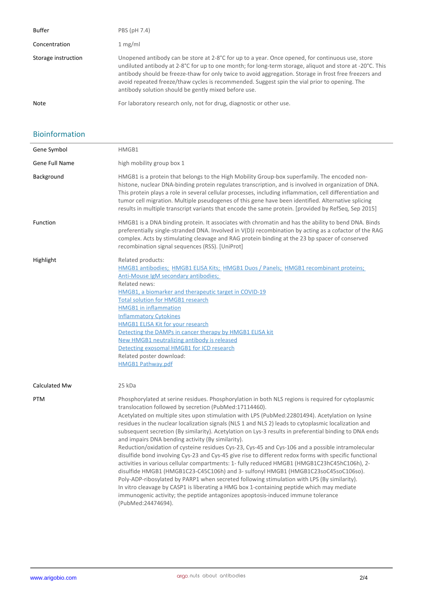| <b>Buffer</b>       | PBS (pH 7.4)                                                                                                                                                                                                                                                                                                                                                                                                                                                                    |
|---------------------|---------------------------------------------------------------------------------------------------------------------------------------------------------------------------------------------------------------------------------------------------------------------------------------------------------------------------------------------------------------------------------------------------------------------------------------------------------------------------------|
| Concentration       | 1 mg/ml                                                                                                                                                                                                                                                                                                                                                                                                                                                                         |
| Storage instruction | Unopened antibody can be store at 2-8°C for up to a year. Once opened, for continuous use, store<br>undiluted antibody at 2-8°C for up to one month; for long-term storage, aliquot and store at -20°C. This<br>antibody should be freeze-thaw for only twice to avoid aggregation. Storage in frost free freezers and<br>avoid repeated freeze/thaw cycles is recommended. Suggest spin the vial prior to opening. The<br>antibody solution should be gently mixed before use. |
| Note                | For laboratory research only, not for drug, diagnostic or other use.                                                                                                                                                                                                                                                                                                                                                                                                            |

## Bioinformation

l,

| Gene Symbol    | HMGB1                                                                                                                                                                                                                                                                                                                                                                                                                                                                                                                                                                                                                                                                                                                                                                                                                                                                                                                                                                                                                                                                                                                                                                                                                                             |
|----------------|---------------------------------------------------------------------------------------------------------------------------------------------------------------------------------------------------------------------------------------------------------------------------------------------------------------------------------------------------------------------------------------------------------------------------------------------------------------------------------------------------------------------------------------------------------------------------------------------------------------------------------------------------------------------------------------------------------------------------------------------------------------------------------------------------------------------------------------------------------------------------------------------------------------------------------------------------------------------------------------------------------------------------------------------------------------------------------------------------------------------------------------------------------------------------------------------------------------------------------------------------|
| Gene Full Name | high mobility group box 1                                                                                                                                                                                                                                                                                                                                                                                                                                                                                                                                                                                                                                                                                                                                                                                                                                                                                                                                                                                                                                                                                                                                                                                                                         |
| Background     | HMGB1 is a protein that belongs to the High Mobility Group-box superfamily. The encoded non-<br>histone, nuclear DNA-binding protein regulates transcription, and is involved in organization of DNA.<br>This protein plays a role in several cellular processes, including inflammation, cell differentiation and<br>tumor cell migration. Multiple pseudogenes of this gene have been identified. Alternative splicing<br>results in multiple transcript variants that encode the same protein. [provided by RefSeq, Sep 2015]                                                                                                                                                                                                                                                                                                                                                                                                                                                                                                                                                                                                                                                                                                                  |
| Function       | HMGB1 is a DNA binding protein. It associates with chromatin and has the ability to bend DNA. Binds<br>preferentially single-stranded DNA. Involved in $V(D)$ recombination by acting as a cofactor of the RAG<br>complex. Acts by stimulating cleavage and RAG protein binding at the 23 bp spacer of conserved<br>recombination signal sequences (RSS). [UniProt]                                                                                                                                                                                                                                                                                                                                                                                                                                                                                                                                                                                                                                                                                                                                                                                                                                                                               |
| Highlight      | Related products:<br>HMGB1 antibodies: HMGB1 ELISA Kits; HMGB1 Duos / Panels; HMGB1 recombinant proteins;<br>Anti-Mouse IgM secondary antibodies;<br>Related news:<br>HMGB1, a biomarker and therapeutic target in COVID-19<br><b>Total solution for HMGB1 research</b><br><b>HMGB1</b> in inflammation<br><b>Inflammatory Cytokines</b><br><b>HMGB1 ELISA Kit for your research</b><br>Detecting the DAMPs in cancer therapy by HMGB1 ELISA kit<br>New HMGB1 neutralizing antibody is released<br>Detecting exosomal HMGB1 for ICD research<br>Related poster download:<br><b>HMGB1 Pathway.pdf</b>                                                                                                                                                                                                                                                                                                                                                                                                                                                                                                                                                                                                                                              |
| Calculated Mw  | 25 kDa                                                                                                                                                                                                                                                                                                                                                                                                                                                                                                                                                                                                                                                                                                                                                                                                                                                                                                                                                                                                                                                                                                                                                                                                                                            |
| <b>PTM</b>     | Phosphorylated at serine residues. Phosphorylation in both NLS regions is required for cytoplasmic<br>translocation followed by secretion (PubMed:17114460).<br>Acetylated on multiple sites upon stimulation with LPS (PubMed:22801494). Acetylation on lysine<br>residues in the nuclear localization signals (NLS 1 and NLS 2) leads to cytoplasmic localization and<br>subsequent secretion (By similarity). Acetylation on Lys-3 results in preferential binding to DNA ends<br>and impairs DNA bending activity (By similarity).<br>Reduction/oxidation of cysteine residues Cys-23, Cys-45 and Cys-106 and a possible intramolecular<br>disulfide bond involving Cys-23 and Cys-45 give rise to different redox forms with specific functional<br>activities in various cellular compartments: 1- fully reduced HMGB1 (HMGB1C23hC45hC106h), 2-<br>disulfide HMGB1 (HMGB1C23-C45C106h) and 3- sulfonyl HMGB1 (HMGB1C23soC45soC106so).<br>Poly-ADP-ribosylated by PARP1 when secreted following stimulation with LPS (By similarity).<br>In vitro cleavage by CASP1 is liberating a HMG box 1-containing peptide which may mediate<br>immunogenic activity; the peptide antagonizes apoptosis-induced immune tolerance<br>(PubMed:24474694). |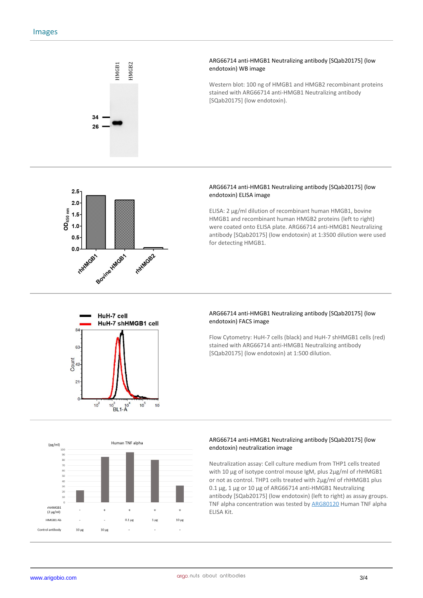

#### **ARG66714 anti-HMGB1 Neutralizing antibody [SQab20175] (low endotoxin) WB image**

Western blot: 100 ng of HMGB1 and HMGB2 recombinant proteins stained with ARG66714 anti-HMGB1 Neutralizing antibody [SQab20175] (low endotoxin).



## **ARG66714 anti-HMGB1 Neutralizing antibody [SQab20175] (low endotoxin) ELISA image**

ELISA: 2 µg/ml dilution of recombinant human HMGB1, bovine HMGB1 and recombinant human HMGB2 proteins (left to right) were coated onto ELISA plate. ARG66714 anti-HMGB1 Neutralizing antibody [SQab20175] (low endotoxin) at 1:3500 dilution were used for detecting HMGB1.



## **ARG66714 anti-HMGB1 Neutralizing antibody [SQab20175] (low endotoxin) FACS image**

Flow Cytometry: HuH-7 cells (black) and HuH-7 shHMGB1 cells (red) stained with ARG66714 anti-HMGB1 Neutralizing antibody [SQab20175] (low endotoxin) at 1:500 dilution.



#### **ARG66714 anti-HMGB1 Neutralizing antibody [SQab20175] (low endotoxin) neutralization image**

Neutralization assay: Cell culture medium from THP1 cells treated with 10 µg of isotype control mouse IgM, plus 2µg/ml of rhHMGB1 or not as control. THP1 cells treated with 2µg/ml of rhHMGB1 plus 0.1 µg, 1 µg or 10 µg of ARG66714 anti-HMGB1 Neutralizing antibody [SQab20175] (low endotoxin) (left to right) as assay groups. TNF alpha concentration was tested by ARG80120 Human TNF alpha ELISA Kit.